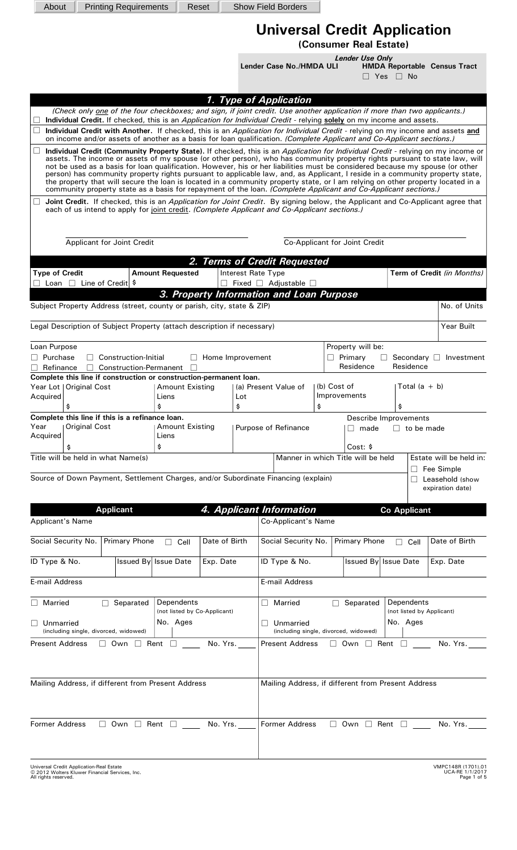| About                                                                                                                                                |                                                                | <b>Printing Requirements</b>                          |                                            | Reset            |           | <b>Show Field Borders</b>                                                                                                                                                                                                                                                                                                                                                                                                                                                                                                                                                                                                                        |                   |                                                |                      |                   |                                                      |
|------------------------------------------------------------------------------------------------------------------------------------------------------|----------------------------------------------------------------|-------------------------------------------------------|--------------------------------------------|------------------|-----------|--------------------------------------------------------------------------------------------------------------------------------------------------------------------------------------------------------------------------------------------------------------------------------------------------------------------------------------------------------------------------------------------------------------------------------------------------------------------------------------------------------------------------------------------------------------------------------------------------------------------------------------------------|-------------------|------------------------------------------------|----------------------|-------------------|------------------------------------------------------|
|                                                                                                                                                      |                                                                |                                                       |                                            |                  |           |                                                                                                                                                                                                                                                                                                                                                                                                                                                                                                                                                                                                                                                  |                   |                                                |                      |                   |                                                      |
|                                                                                                                                                      |                                                                |                                                       |                                            |                  |           | <b>Universal Credit Application</b><br>(Consumer Real Estate)                                                                                                                                                                                                                                                                                                                                                                                                                                                                                                                                                                                    |                   |                                                |                      |                   |                                                      |
|                                                                                                                                                      |                                                                |                                                       |                                            |                  |           | Lender Case No./HMDA ULI                                                                                                                                                                                                                                                                                                                                                                                                                                                                                                                                                                                                                         |                   | <b>Lender Use Only</b>                         | $\Box$ Yes $\Box$ No |                   | <b>HMDA Reportable Census Tract</b>                  |
|                                                                                                                                                      |                                                                |                                                       |                                            |                  |           | 1. Type of Application                                                                                                                                                                                                                                                                                                                                                                                                                                                                                                                                                                                                                           |                   |                                                |                      |                   |                                                      |
|                                                                                                                                                      |                                                                |                                                       |                                            |                  |           | (Check only one of the four checkboxes; and sign, if joint credit. Use another application if more than two applicants.)<br>Individual Credit. If checked, this is an Application for Individual Credit - relying solely on my income and assets.<br>Individual Credit with Another. If checked, this is an Application for Individual Credit - relying on my income and assets and<br>on income and/or assets of another as a basis for loan qualification. (Complete Applicant and Co-Applicant sections.)<br>Individual Credit (Community Property State). If checked, this is an Application for Individual Credit - relying on my income or |                   |                                                |                      |                   |                                                      |
|                                                                                                                                                      |                                                                |                                                       |                                            |                  |           | assets. The income or assets of my spouse (or other person), who has community property rights pursuant to state law, will<br>not be used as a basis for loan qualification. However, his or her liabilities must be considered because my spouse (or other<br>person) has community property rights pursuant to applicable law, and, as Applicant, I reside in a community property state,<br>the property that will secure the loan is located in a community property state, or I am relying on other property located in a<br>community property state as a basis for repayment of the loan. (Complete Applicant and Co-Applicant sections.) |                   |                                                |                      |                   |                                                      |
|                                                                                                                                                      |                                                                |                                                       |                                            |                  |           | Joint Credit. If checked, this is an Application for Joint Credit. By signing below, the Applicant and Co-Applicant agree that<br>each of us intend to apply for joint credit. (Complete Applicant and Co-Applicant sections.)                                                                                                                                                                                                                                                                                                                                                                                                                   |                   |                                                |                      |                   |                                                      |
|                                                                                                                                                      |                                                                | Applicant for Joint Credit                            |                                            |                  |           |                                                                                                                                                                                                                                                                                                                                                                                                                                                                                                                                                                                                                                                  |                   | Co-Applicant for Joint Credit                  |                      |                   |                                                      |
|                                                                                                                                                      |                                                                |                                                       |                                            |                  |           | 2. Terms of Credit Requested                                                                                                                                                                                                                                                                                                                                                                                                                                                                                                                                                                                                                     |                   |                                                |                      |                   |                                                      |
| <b>Type of Credit</b><br>$\Box$                                                                                                                      | Loan $\Box$ Line of Credit $\frac{1}{2}$                       |                                                       | <b>Amount Requested</b>                    | $\perp$          |           | Interest Rate Type<br>Fixed □ Adjustable □                                                                                                                                                                                                                                                                                                                                                                                                                                                                                                                                                                                                       |                   |                                                |                      |                   | Term of Credit (in Months)                           |
|                                                                                                                                                      |                                                                |                                                       |                                            |                  |           | 3. Property Information and Loan Purpose                                                                                                                                                                                                                                                                                                                                                                                                                                                                                                                                                                                                         |                   |                                                |                      |                   |                                                      |
| Subject Property Address (street, county or parish, city, state & ZIP)                                                                               |                                                                |                                                       |                                            |                  |           |                                                                                                                                                                                                                                                                                                                                                                                                                                                                                                                                                                                                                                                  |                   |                                                |                      |                   | No. of Units                                         |
| Legal Description of Subject Property (attach description if necessary)                                                                              |                                                                |                                                       |                                            |                  |           |                                                                                                                                                                                                                                                                                                                                                                                                                                                                                                                                                                                                                                                  |                   |                                                |                      |                   | <b>Year Built</b>                                    |
| Loan Purpose<br>$\Box$ Purchase<br>Refinance                                                                                                         |                                                                | Construction-Initial<br><b>Construction-Permanent</b> |                                            | Home Improvement |           | Property will be:<br>$\Box$ Primary<br>Secondary $\Box$ Investment<br>Residence<br>Residence                                                                                                                                                                                                                                                                                                                                                                                                                                                                                                                                                     |                   |                                                |                      |                   |                                                      |
| Complete this line if construction or construction-permanent loan.<br>Year Lot   Original Cost<br>Acquired<br>\$                                     |                                                                |                                                       | <b>Amount Existing</b><br>Liens<br>\$      |                  | Lot<br>\$ | (a) Present Value of                                                                                                                                                                                                                                                                                                                                                                                                                                                                                                                                                                                                                             | (b) Cost of<br>\$ | Improvements                                   | \$                   | Total $(a + b)$   |                                                      |
| Complete this line if this is a refinance loan.<br>Year<br>Acquired                                                                                  | <b>Original Cost</b>                                           |                                                       | <b>Amount Existing</b><br>Liens            |                  |           | Purpose of Refinance                                                                                                                                                                                                                                                                                                                                                                                                                                                                                                                                                                                                                             |                   | Describe Improvements<br>made                  |                      | $\Box$ to be made |                                                      |
| \$<br>Title will be held in what Name(s)                                                                                                             |                                                                |                                                       | \$                                         |                  |           |                                                                                                                                                                                                                                                                                                                                                                                                                                                                                                                                                                                                                                                  |                   | Cost: \$<br>Manner in which Title will be held |                      |                   | Estate will be held in:                              |
|                                                                                                                                                      |                                                                |                                                       |                                            |                  |           | Source of Down Payment, Settlement Charges, and/or Subordinate Financing (explain)                                                                                                                                                                                                                                                                                                                                                                                                                                                                                                                                                               |                   |                                                |                      |                   | Fee Simple<br>Leasehold (show<br>expiration date)    |
|                                                                                                                                                      |                                                                | <b>Applicant</b>                                      |                                            |                  |           | 4. Applicant Information                                                                                                                                                                                                                                                                                                                                                                                                                                                                                                                                                                                                                         |                   |                                                | <b>Co Applicant</b>  |                   |                                                      |
| <b>Applicant's Name</b>                                                                                                                              |                                                                |                                                       |                                            |                  |           | Co-Applicant's Name                                                                                                                                                                                                                                                                                                                                                                                                                                                                                                                                                                                                                              |                   |                                                |                      |                   |                                                      |
| Social Security No.                                                                                                                                  |                                                                | <b>Primary Phone</b>                                  | Cell                                       | Date of Birth    |           | Social Security No.                                                                                                                                                                                                                                                                                                                                                                                                                                                                                                                                                                                                                              |                   | Primary Phone                                  | $\Box$               | Cell              | Date of Birth                                        |
| ID Type & No.                                                                                                                                        |                                                                | Issued By Issue Date                                  |                                            | Exp. Date        |           | ID Type & No.                                                                                                                                                                                                                                                                                                                                                                                                                                                                                                                                                                                                                                    |                   | Issued By Issue Date                           |                      |                   | Exp. Date                                            |
| <b>E-mail Address</b>                                                                                                                                |                                                                |                                                       |                                            |                  |           | <b>E-mail Address</b>                                                                                                                                                                                                                                                                                                                                                                                                                                                                                                                                                                                                                            |                   |                                                |                      |                   |                                                      |
| $\Box$ Married                                                                                                                                       | $\perp$                                                        | Separated                                             | Dependents<br>(not listed by Co-Applicant) |                  |           | Married<br>$\mathsf{L}$                                                                                                                                                                                                                                                                                                                                                                                                                                                                                                                                                                                                                          | $\Box$            | Separated                                      | Dependents           |                   | (not listed by Applicant)                            |
|                                                                                                                                                      | No. Ages<br>Unmarried<br>(including single, divorced, widowed) |                                                       |                                            |                  |           | No. Ages<br>Unmarried<br>$\mathbf{L}$<br>(including single, divorced, widowed)                                                                                                                                                                                                                                                                                                                                                                                                                                                                                                                                                                   |                   |                                                |                      |                   |                                                      |
| <b>Present Address</b><br>No. Yrs.<br><b>Present Address</b><br>$\Box$ Own<br>Rent $\Box$<br>$\Box$ Own<br>$\Box$ Rent $\Box$<br>No. Yrs.<br>$\perp$ |                                                                |                                                       |                                            |                  |           |                                                                                                                                                                                                                                                                                                                                                                                                                                                                                                                                                                                                                                                  |                   |                                                |                      |                   |                                                      |
| Mailing Address, if different from Present Address<br>Mailing Address, if different from Present Address                                             |                                                                |                                                       |                                            |                  |           |                                                                                                                                                                                                                                                                                                                                                                                                                                                                                                                                                                                                                                                  |                   |                                                |                      |                   |                                                      |
| <b>Former Address</b>                                                                                                                                |                                                                | $\Box$ Own $\Box$ Rent $\Box$                         |                                            | No. Yrs.         |           | <b>Former Address</b>                                                                                                                                                                                                                                                                                                                                                                                                                                                                                                                                                                                                                            |                   | $\Box$ Own $\Box$ Rent $\Box$                  |                      |                   | No. Yrs.                                             |
| Universal Credit Application-Real Estate<br>© 2012 Wolters Kluwer Financial Services, Inc.<br>All rights reserved.                                   |                                                                |                                                       |                                            |                  |           |                                                                                                                                                                                                                                                                                                                                                                                                                                                                                                                                                                                                                                                  |                   |                                                |                      |                   | VMPC148R (1701).01<br>UCA-RE 1/1/2017<br>Page 1 of 5 |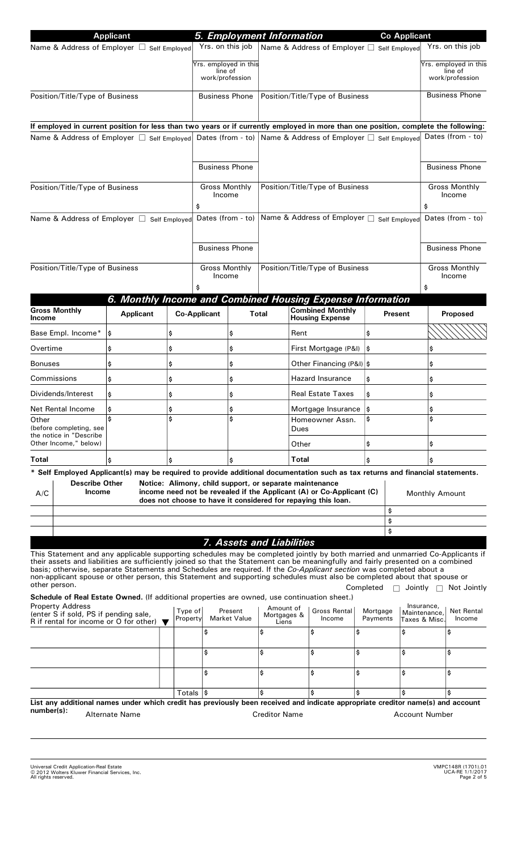|                                                                                                                                                                                                                                                                                                                                                                                                                                                                                                                                          | <b>Applicant</b>               |                     |                                 |                                 |                                   | 5. Employment Information                                                                                                       |                      | <b>Co Applicant</b>            |                                             |                                |  |
|------------------------------------------------------------------------------------------------------------------------------------------------------------------------------------------------------------------------------------------------------------------------------------------------------------------------------------------------------------------------------------------------------------------------------------------------------------------------------------------------------------------------------------------|--------------------------------|---------------------|---------------------------------|---------------------------------|-----------------------------------|---------------------------------------------------------------------------------------------------------------------------------|----------------------|--------------------------------|---------------------------------------------|--------------------------------|--|
| Name & Address of Employer □ Self Employed                                                                                                                                                                                                                                                                                                                                                                                                                                                                                               |                                |                     | Yrs. on this job                |                                 |                                   | Name & Address of Employer □ Self Employed                                                                                      |                      |                                |                                             | Yrs. on this job               |  |
|                                                                                                                                                                                                                                                                                                                                                                                                                                                                                                                                          |                                |                     | Yrs. employed in this           |                                 |                                   |                                                                                                                                 |                      |                                |                                             | Yrs. employed in this          |  |
|                                                                                                                                                                                                                                                                                                                                                                                                                                                                                                                                          |                                |                     | line of<br>work/profession      |                                 |                                   |                                                                                                                                 |                      |                                |                                             | line of<br>work/profession     |  |
| Position/Title/Type of Business                                                                                                                                                                                                                                                                                                                                                                                                                                                                                                          | <b>Business Phone</b>          |                     |                                 | Position/Title/Type of Business |                                   |                                                                                                                                 |                      | <b>Business Phone</b>          |                                             |                                |  |
|                                                                                                                                                                                                                                                                                                                                                                                                                                                                                                                                          |                                |                     |                                 |                                 |                                   |                                                                                                                                 |                      |                                |                                             |                                |  |
| If employed in current position for less than two years or if currently employed in more than one position, complete the following:<br>Name & Address of Employer $\Box$ Self Employed Dates (from - to) Name & Address of Employer $\Box$ Self Employed                                                                                                                                                                                                                                                                                 |                                |                     |                                 |                                 |                                   |                                                                                                                                 |                      |                                |                                             | Dates (from - to)              |  |
|                                                                                                                                                                                                                                                                                                                                                                                                                                                                                                                                          |                                |                     |                                 |                                 |                                   |                                                                                                                                 |                      |                                |                                             |                                |  |
|                                                                                                                                                                                                                                                                                                                                                                                                                                                                                                                                          |                                |                     | <b>Business Phone</b>           |                                 |                                   |                                                                                                                                 |                      |                                |                                             | <b>Business Phone</b>          |  |
| Position/Title/Type of Business                                                                                                                                                                                                                                                                                                                                                                                                                                                                                                          | <b>Gross Monthly</b><br>Income |                     | Position/Title/Type of Business |                                 |                                   |                                                                                                                                 |                      | <b>Gross Monthly</b><br>Income |                                             |                                |  |
| Name & Address of Employer □ Self Employed                                                                                                                                                                                                                                                                                                                                                                                                                                                                                               |                                |                     | \$<br>Dates (from - to)         |                                 |                                   | Name & Address of Employer □ Self Employed                                                                                      |                      |                                | \$                                          | Dates (from - to)              |  |
|                                                                                                                                                                                                                                                                                                                                                                                                                                                                                                                                          |                                |                     |                                 |                                 |                                   |                                                                                                                                 |                      |                                |                                             |                                |  |
|                                                                                                                                                                                                                                                                                                                                                                                                                                                                                                                                          |                                |                     | <b>Business Phone</b>           |                                 |                                   |                                                                                                                                 |                      |                                |                                             | <b>Business Phone</b>          |  |
| Position/Title/Type of Business                                                                                                                                                                                                                                                                                                                                                                                                                                                                                                          |                                |                     | <b>Gross Monthly</b><br>Income  |                                 |                                   | Position/Title/Type of Business                                                                                                 |                      |                                |                                             | <b>Gross Monthly</b><br>Income |  |
|                                                                                                                                                                                                                                                                                                                                                                                                                                                                                                                                          |                                |                     |                                 |                                 |                                   |                                                                                                                                 |                      |                                | \$                                          |                                |  |
| <b>Gross Monthly</b>                                                                                                                                                                                                                                                                                                                                                                                                                                                                                                                     |                                |                     |                                 |                                 |                                   | 6. Monthly Income and Combined Housing Expense Information<br><b>Combined Monthly</b>                                           |                      |                                |                                             |                                |  |
| Income                                                                                                                                                                                                                                                                                                                                                                                                                                                                                                                                   | <b>Applicant</b>               |                     | <b>Co-Applicant</b>             |                                 | Total                             | <b>Housing Expense</b>                                                                                                          |                      | <b>Present</b>                 |                                             | Proposed                       |  |
| Base Empl. Income*                                                                                                                                                                                                                                                                                                                                                                                                                                                                                                                       | \$                             | \$                  |                                 | \$                              |                                   | Rent                                                                                                                            | \$                   |                                |                                             |                                |  |
| Overtime                                                                                                                                                                                                                                                                                                                                                                                                                                                                                                                                 | \$                             | \$                  |                                 | \$                              |                                   | First Mortgage (P&I)                                                                                                            | I\$                  |                                |                                             |                                |  |
| <b>Bonuses</b>                                                                                                                                                                                                                                                                                                                                                                                                                                                                                                                           | \$                             | \$                  |                                 | \$                              |                                   | Other Financing (P&I)  \$                                                                                                       |                      |                                | \$                                          |                                |  |
| Commissions                                                                                                                                                                                                                                                                                                                                                                                                                                                                                                                              | \$                             | \$                  | \$                              |                                 | <b>Hazard Insurance</b>           |                                                                                                                                 | \$                   |                                |                                             |                                |  |
| Dividends/Interest                                                                                                                                                                                                                                                                                                                                                                                                                                                                                                                       | \$                             | \$                  | \$                              |                                 | <b>Real Estate Taxes</b>          |                                                                                                                                 | \$                   |                                |                                             | \$                             |  |
| Net Rental Income                                                                                                                                                                                                                                                                                                                                                                                                                                                                                                                        | Ş                              | \$                  |                                 | Ş                               |                                   | Mortgage Insurance $ \$$                                                                                                        |                      |                                | Ş                                           |                                |  |
| Other<br>(before completing, see<br>the notice in "Describe<br>Other Income," below)                                                                                                                                                                                                                                                                                                                                                                                                                                                     |                                |                     |                                 | Ś                               |                                   | Homeowner Assn.<br>Dues                                                                                                         | \$                   |                                | Ś                                           |                                |  |
|                                                                                                                                                                                                                                                                                                                                                                                                                                                                                                                                          |                                |                     |                                 |                                 |                                   | Other                                                                                                                           | \$                   |                                | \$                                          |                                |  |
| Total<br>* Self Employed Applicant(s) may be required to provide additional documentation such as tax returns and financial statements.                                                                                                                                                                                                                                                                                                                                                                                                  | \$                             | \$                  |                                 | \$                              |                                   | Total                                                                                                                           | \$                   |                                | \$                                          |                                |  |
| <b>Describe Other</b><br><b>Income</b><br>A/C                                                                                                                                                                                                                                                                                                                                                                                                                                                                                            |                                |                     |                                 |                                 |                                   | Notice: Alimony, child support, or separate maintenance<br>income need not be revealed if the Applicant (A) or Co-Applicant (C) |                      |                                | <b>Monthly Amount</b>                       |                                |  |
|                                                                                                                                                                                                                                                                                                                                                                                                                                                                                                                                          |                                |                     |                                 |                                 |                                   | does not choose to have it considered for repaying this loan.                                                                   |                      | \$                             |                                             |                                |  |
|                                                                                                                                                                                                                                                                                                                                                                                                                                                                                                                                          |                                |                     |                                 |                                 |                                   |                                                                                                                                 |                      | \$                             |                                             |                                |  |
|                                                                                                                                                                                                                                                                                                                                                                                                                                                                                                                                          |                                |                     |                                 |                                 | 7. Assets and Liabilities         |                                                                                                                                 |                      | \$                             |                                             |                                |  |
| This Statement and any applicable supporting schedules may be completed jointly by both married and unmarried Co-Applicants if<br>their assets and liabilities are sufficiently joined so that the Statement can be meaningfully and fairly presented on a combined<br>basis; otherwise, separate Statements and Schedules are required. If the Co-Applicant section was completed about a<br>non-applicant spouse or other person, this Statement and supporting schedules must also be completed about that spouse or<br>other person. |                                |                     |                                 |                                 |                                   |                                                                                                                                 | Completed            | $\Box$ Jointly $\Box$          |                                             | Not Jointly                    |  |
| Schedule of Real Estate Owned. (If additional properties are owned, use continuation sheet.)<br><b>Property Address</b><br>(enter S if sold, PS if pending sale,<br>R if rental for income or O for other) $\blacktriangledown$                                                                                                                                                                                                                                                                                                          |                                | Type of<br>Property |                                 | Present<br><b>Market Value</b>  | Amount of<br>Mortgages &<br>Liens | Gross Rental<br>Income                                                                                                          | Mortgage<br>Payments |                                | Insurance,<br>Maintenance,<br>Taxes & Misc. | <b>Net Rental</b><br>Income    |  |
|                                                                                                                                                                                                                                                                                                                                                                                                                                                                                                                                          |                                |                     | \$                              |                                 | \$                                | \$                                                                                                                              | \$                   | \$                             |                                             | \$                             |  |
|                                                                                                                                                                                                                                                                                                                                                                                                                                                                                                                                          |                                |                     | \$                              |                                 | \$                                | \$                                                                                                                              | \$                   | \$                             |                                             | \$                             |  |
|                                                                                                                                                                                                                                                                                                                                                                                                                                                                                                                                          |                                |                     | \$                              |                                 | \$                                | \$                                                                                                                              | \$                   | \$                             |                                             | \$                             |  |
|                                                                                                                                                                                                                                                                                                                                                                                                                                                                                                                                          |                                |                     | Totals $ \$$                    |                                 | \$                                | \$                                                                                                                              | \$                   |                                |                                             | \$                             |  |
| List any additional names under which credit has previously been received and indicate appropriate creditor name(s) and account<br>number(s):                                                                                                                                                                                                                                                                                                                                                                                            |                                |                     |                                 |                                 |                                   |                                                                                                                                 |                      |                                |                                             |                                |  |
|                                                                                                                                                                                                                                                                                                                                                                                                                                                                                                                                          | <b>Alternate Name</b>          |                     |                                 |                                 | <b>Creditor Name</b>              |                                                                                                                                 |                      | <b>Account Number</b>          |                                             |                                |  |

Universal Credit Application-Real Estate VMPC148R [\(1701\).01](https://1701).01)  2012 Wolters Kluwer Financial Services, Inc. UCA-RE 1/1/2017 All rights reserved. -

VMPC148R (1701).01<br>UCA-RE 1/1/2017<br>Page 2 of 5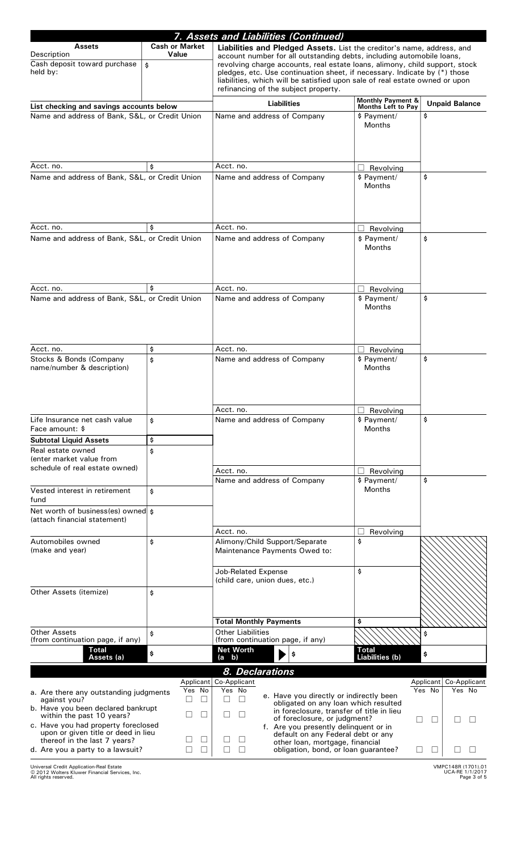|                                                                                                                           |                        | 7. Assets and Liabilities (Continued)                                                                                                                                                                                                                                                                                                                    |                                                    |                                               |  |  |  |  |  |
|---------------------------------------------------------------------------------------------------------------------------|------------------------|----------------------------------------------------------------------------------------------------------------------------------------------------------------------------------------------------------------------------------------------------------------------------------------------------------------------------------------------------------|----------------------------------------------------|-----------------------------------------------|--|--|--|--|--|
| <b>Assets</b>                                                                                                             | <b>Cash or Market</b>  | Liabilities and Pledged Assets. List the creditor's name, address, and                                                                                                                                                                                                                                                                                   |                                                    |                                               |  |  |  |  |  |
| Description<br>Cash deposit toward purchase<br>held by:                                                                   | Value<br>\$            | account number for all outstanding debts, including automobile loans,<br>revolving charge accounts, real estate loans, alimony, child support, stock<br>pledges, etc. Use continuation sheet, if necessary. Indicate by (*) those<br>liabilities, which will be satisfied upon sale of real estate owned or upon<br>refinancing of the subject property. |                                                    |                                               |  |  |  |  |  |
|                                                                                                                           |                        |                                                                                                                                                                                                                                                                                                                                                          |                                                    |                                               |  |  |  |  |  |
| List checking and savings accounts below                                                                                  |                        | <b>Liabilities</b>                                                                                                                                                                                                                                                                                                                                       | <b>Monthly Payment &amp;</b><br>Months Left to Pay | <b>Unpaid Balance</b>                         |  |  |  |  |  |
| Name and address of Bank, S&L, or Credit Union                                                                            |                        | Name and address of Company                                                                                                                                                                                                                                                                                                                              | \$ Payment/<br><b>Months</b>                       | \$                                            |  |  |  |  |  |
|                                                                                                                           |                        |                                                                                                                                                                                                                                                                                                                                                          |                                                    |                                               |  |  |  |  |  |
| Acct. no.                                                                                                                 | \$                     | Acct. no.                                                                                                                                                                                                                                                                                                                                                | Revolving                                          |                                               |  |  |  |  |  |
| Name and address of Bank, S&L, or Credit Union                                                                            |                        | Name and address of Company                                                                                                                                                                                                                                                                                                                              | \$ Payment/<br><b>Months</b>                       | \$                                            |  |  |  |  |  |
| Acct. no.                                                                                                                 | \$                     | Acct. no.                                                                                                                                                                                                                                                                                                                                                |                                                    |                                               |  |  |  |  |  |
| Name and address of Bank, S&L, or Credit Union                                                                            |                        | Name and address of Company                                                                                                                                                                                                                                                                                                                              | Revolving<br>\$ Payment/                           | \$                                            |  |  |  |  |  |
|                                                                                                                           |                        |                                                                                                                                                                                                                                                                                                                                                          | Months                                             |                                               |  |  |  |  |  |
| Acct. no.                                                                                                                 | \$                     | Acct. no.                                                                                                                                                                                                                                                                                                                                                | Revolving                                          |                                               |  |  |  |  |  |
| Name and address of Bank, S&L, or Credit Union                                                                            |                        | Name and address of Company                                                                                                                                                                                                                                                                                                                              | \$ Payment/                                        | \$                                            |  |  |  |  |  |
|                                                                                                                           |                        |                                                                                                                                                                                                                                                                                                                                                          | <b>Months</b>                                      |                                               |  |  |  |  |  |
| Acct. no.                                                                                                                 | \$                     | Acct. no.                                                                                                                                                                                                                                                                                                                                                | Revolving                                          |                                               |  |  |  |  |  |
| Stocks & Bonds (Company<br>name/number & description)                                                                     | \$                     | Name and address of Company                                                                                                                                                                                                                                                                                                                              | \$ Payment/<br><b>Months</b>                       | \$                                            |  |  |  |  |  |
|                                                                                                                           |                        | Acct. no.                                                                                                                                                                                                                                                                                                                                                | Revolving                                          |                                               |  |  |  |  |  |
| Life Insurance net cash value<br>Face amount: \$                                                                          | \$                     | Name and address of Company                                                                                                                                                                                                                                                                                                                              | \$ Payment/<br><b>Months</b>                       | \$                                            |  |  |  |  |  |
| <b>Subtotal Liquid Assets</b>                                                                                             | \$                     |                                                                                                                                                                                                                                                                                                                                                          |                                                    |                                               |  |  |  |  |  |
| Real estate owned<br>lenter market value from<br>schedule of real estate owned)                                           | \$                     | Acct. no.                                                                                                                                                                                                                                                                                                                                                | Revolving                                          |                                               |  |  |  |  |  |
|                                                                                                                           |                        | Name and address of Company                                                                                                                                                                                                                                                                                                                              | \$ Payment/                                        | \$                                            |  |  |  |  |  |
| Vested interest in retirement<br>fund                                                                                     | \$                     |                                                                                                                                                                                                                                                                                                                                                          | <b>Months</b>                                      |                                               |  |  |  |  |  |
| Net worth of business(es) owned s<br>(attach financial statement)                                                         |                        |                                                                                                                                                                                                                                                                                                                                                          |                                                    |                                               |  |  |  |  |  |
| Automobiles owned                                                                                                         | \$                     | Acct. no.<br>Alimony/Child Support/Separate                                                                                                                                                                                                                                                                                                              | Revolving<br>\$                                    |                                               |  |  |  |  |  |
| (make and year)                                                                                                           |                        | Maintenance Payments Owed to:<br><b>Job-Related Expense</b>                                                                                                                                                                                                                                                                                              | \$                                                 |                                               |  |  |  |  |  |
|                                                                                                                           |                        | (child care, union dues, etc.)                                                                                                                                                                                                                                                                                                                           |                                                    |                                               |  |  |  |  |  |
| Other Assets (itemize)                                                                                                    | \$                     |                                                                                                                                                                                                                                                                                                                                                          |                                                    |                                               |  |  |  |  |  |
| <b>Other Assets</b>                                                                                                       | \$                     | <b>Total Monthly Payments</b><br><b>Other Liabilities</b>                                                                                                                                                                                                                                                                                                | \$                                                 | \$                                            |  |  |  |  |  |
| (from continuation page, if any)                                                                                          |                        | (from continuation page, if any)                                                                                                                                                                                                                                                                                                                         | <b>Total</b>                                       |                                               |  |  |  |  |  |
| <b>Total</b><br>Assets (a)                                                                                                | \$                     | <b>Net Worth</b><br>\$<br>$(a - b)$                                                                                                                                                                                                                                                                                                                      | Liabilities (b)                                    | \$                                            |  |  |  |  |  |
|                                                                                                                           |                        | 8. Declarations                                                                                                                                                                                                                                                                                                                                          |                                                    |                                               |  |  |  |  |  |
| a. Are there any outstanding judgments<br>against you?<br>b. Have you been declared bankrupt<br>within the past 10 years? | Yes No<br>$\perp$<br>⊔ | Applicant Co-Applicant<br>Yes No<br>e. Have you directly or indirectly been<br>obligated on any loan which resulted<br>in foreclosure, transfer of title in lieu<br>of foreclosure, or judgment?                                                                                                                                                         |                                                    | Co-Applicant<br>Applicant<br>Yes No<br>Yes No |  |  |  |  |  |
| c. Have you had property foreclosed<br>upon or given title or deed in lieu<br>thereof in the last 7 years?                |                        | f. Are you presently delinquent or in<br>default on any Federal debt or any<br>other loan, mortgage, financial                                                                                                                                                                                                                                           |                                                    |                                               |  |  |  |  |  |
| d. Are you a party to a lawsuit?                                                                                          | $\mathsf{L}$           | obligation, bond, or loan guarantee?                                                                                                                                                                                                                                                                                                                     |                                                    | L                                             |  |  |  |  |  |

Universal Credit Application-Real Estate VMPC148R [\(1701\).01](https://1701).01)  2012 Wolters Kluwer Financial Services, Inc. UCA-RE 1/1/2017 All rights reserved. -

VMPC148R (1701).01<br>UCA-RE 1/1/2017<br>Page 3 of 5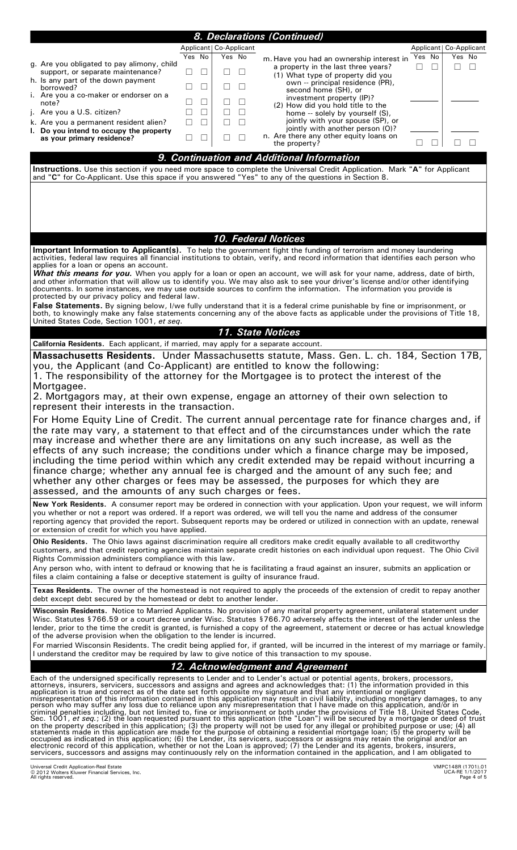|                                                                                                                                                                                                                                                                                                                                                                                                                                                                                                                                                                                                                                                                                                                                                                                                                                                                                                                                                                                                                                                                                                                                                                                                                                                                                                                                                                                                                                                                                                                                             |                          | 8. Declarations (Continued)                                                     |                                                      |
|---------------------------------------------------------------------------------------------------------------------------------------------------------------------------------------------------------------------------------------------------------------------------------------------------------------------------------------------------------------------------------------------------------------------------------------------------------------------------------------------------------------------------------------------------------------------------------------------------------------------------------------------------------------------------------------------------------------------------------------------------------------------------------------------------------------------------------------------------------------------------------------------------------------------------------------------------------------------------------------------------------------------------------------------------------------------------------------------------------------------------------------------------------------------------------------------------------------------------------------------------------------------------------------------------------------------------------------------------------------------------------------------------------------------------------------------------------------------------------------------------------------------------------------------|--------------------------|---------------------------------------------------------------------------------|------------------------------------------------------|
|                                                                                                                                                                                                                                                                                                                                                                                                                                                                                                                                                                                                                                                                                                                                                                                                                                                                                                                                                                                                                                                                                                                                                                                                                                                                                                                                                                                                                                                                                                                                             | Applicant   Co-Applicant |                                                                                 | Applicant   Co-Applicant                             |
| Yes No<br>g. Are you obligated to pay alimony, child                                                                                                                                                                                                                                                                                                                                                                                                                                                                                                                                                                                                                                                                                                                                                                                                                                                                                                                                                                                                                                                                                                                                                                                                                                                                                                                                                                                                                                                                                        | Yes No                   | m. Have you had an ownership interest in<br>a property in the last three years? | Yes No<br>Yes No<br>П<br>$\Box$                      |
| support, or separate maintenance?<br>h. Is any part of the down payment                                                                                                                                                                                                                                                                                                                                                                                                                                                                                                                                                                                                                                                                                                                                                                                                                                                                                                                                                                                                                                                                                                                                                                                                                                                                                                                                                                                                                                                                     | $\mathsf{L}$             | (1) What type of property did you                                               |                                                      |
| borrowed?<br>i. Are you a co-maker or endorser on a                                                                                                                                                                                                                                                                                                                                                                                                                                                                                                                                                                                                                                                                                                                                                                                                                                                                                                                                                                                                                                                                                                                                                                                                                                                                                                                                                                                                                                                                                         | $\vert \ \ \vert$        | own -- principal residence (PR),<br>second home (SH), or                        |                                                      |
| note?                                                                                                                                                                                                                                                                                                                                                                                                                                                                                                                                                                                                                                                                                                                                                                                                                                                                                                                                                                                                                                                                                                                                                                                                                                                                                                                                                                                                                                                                                                                                       | $\vert \ \ \vert$        | investment property (IP)?<br>(2) How did you hold title to the                  |                                                      |
| Are you a U.S. citizen?<br>П                                                                                                                                                                                                                                                                                                                                                                                                                                                                                                                                                                                                                                                                                                                                                                                                                                                                                                                                                                                                                                                                                                                                                                                                                                                                                                                                                                                                                                                                                                                | П<br>П                   | home -- solely by yourself (S),<br>jointly with your spouse (SP), or            |                                                      |
| k. Are you a permanent resident alien?<br>I. Do you intend to occupy the property                                                                                                                                                                                                                                                                                                                                                                                                                                                                                                                                                                                                                                                                                                                                                                                                                                                                                                                                                                                                                                                                                                                                                                                                                                                                                                                                                                                                                                                           |                          | jointly with another person (O)?<br>n. Are there any other equity loans on      |                                                      |
| as your primary residence?                                                                                                                                                                                                                                                                                                                                                                                                                                                                                                                                                                                                                                                                                                                                                                                                                                                                                                                                                                                                                                                                                                                                                                                                                                                                                                                                                                                                                                                                                                                  |                          | the property?                                                                   | $\Box$                                               |
|                                                                                                                                                                                                                                                                                                                                                                                                                                                                                                                                                                                                                                                                                                                                                                                                                                                                                                                                                                                                                                                                                                                                                                                                                                                                                                                                                                                                                                                                                                                                             |                          | 9. Continuation and Additional Information                                      |                                                      |
| Instructions. Use this section if you need more space to complete the Universal Credit Application. Mark "A" for Applicant<br>and "C" for Co-Applicant. Use this space if you answered "Yes" to any of the questions in Section 8.                                                                                                                                                                                                                                                                                                                                                                                                                                                                                                                                                                                                                                                                                                                                                                                                                                                                                                                                                                                                                                                                                                                                                                                                                                                                                                          |                          |                                                                                 |                                                      |
|                                                                                                                                                                                                                                                                                                                                                                                                                                                                                                                                                                                                                                                                                                                                                                                                                                                                                                                                                                                                                                                                                                                                                                                                                                                                                                                                                                                                                                                                                                                                             |                          | <b>10. Federal Notices</b>                                                      |                                                      |
| Important Information to Applicant(s). To help the government fight the funding of terrorism and money laundering                                                                                                                                                                                                                                                                                                                                                                                                                                                                                                                                                                                                                                                                                                                                                                                                                                                                                                                                                                                                                                                                                                                                                                                                                                                                                                                                                                                                                           |                          |                                                                                 |                                                      |
| activities, federal law requires all financial institutions to obtain, verify, and record information that identifies each person who<br>applies for a loan or opens an account.                                                                                                                                                                                                                                                                                                                                                                                                                                                                                                                                                                                                                                                                                                                                                                                                                                                                                                                                                                                                                                                                                                                                                                                                                                                                                                                                                            |                          |                                                                                 |                                                      |
| <b>What this means for you.</b> When you apply for a loan or open an account, we will ask for your name, address, date of birth,<br>and other information that will allow us to identify you. We may also ask to see your driver's license and/or other identifying                                                                                                                                                                                                                                                                                                                                                                                                                                                                                                                                                                                                                                                                                                                                                                                                                                                                                                                                                                                                                                                                                                                                                                                                                                                                         |                          |                                                                                 |                                                      |
| documents. In some instances, we may use outside sources to confirm the information. The information you provide is<br>protected by our privacy policy and federal law.                                                                                                                                                                                                                                                                                                                                                                                                                                                                                                                                                                                                                                                                                                                                                                                                                                                                                                                                                                                                                                                                                                                                                                                                                                                                                                                                                                     |                          |                                                                                 |                                                      |
| False Statements. By signing below, I/we fully understand that it is a federal crime punishable by fine or imprisonment, or<br>both, to knowingly make any false statements concerning any of the above facts as applicable under the provisions of Title 18,                                                                                                                                                                                                                                                                                                                                                                                                                                                                                                                                                                                                                                                                                                                                                                                                                                                                                                                                                                                                                                                                                                                                                                                                                                                                               |                          |                                                                                 |                                                      |
| United States Code, Section 1001, et seq.                                                                                                                                                                                                                                                                                                                                                                                                                                                                                                                                                                                                                                                                                                                                                                                                                                                                                                                                                                                                                                                                                                                                                                                                                                                                                                                                                                                                                                                                                                   |                          |                                                                                 |                                                      |
|                                                                                                                                                                                                                                                                                                                                                                                                                                                                                                                                                                                                                                                                                                                                                                                                                                                                                                                                                                                                                                                                                                                                                                                                                                                                                                                                                                                                                                                                                                                                             |                          | <b>11. State Notices</b>                                                        |                                                      |
| California Residents. Each applicant, if married, may apply for a separate account.<br>Massachusetts Residents. Under Massachusetts statute, Mass. Gen. L. ch. 184, Section 17B,                                                                                                                                                                                                                                                                                                                                                                                                                                                                                                                                                                                                                                                                                                                                                                                                                                                                                                                                                                                                                                                                                                                                                                                                                                                                                                                                                            |                          |                                                                                 |                                                      |
| you, the Applicant (and Co-Applicant) are entitled to know the following:<br>1. The responsibility of the attorney for the Mortgagee is to protect the interest of the<br>Mortgagee.<br>2. Mortgagors may, at their own expense, engage an attorney of their own selection to<br>represent their interests in the transaction.                                                                                                                                                                                                                                                                                                                                                                                                                                                                                                                                                                                                                                                                                                                                                                                                                                                                                                                                                                                                                                                                                                                                                                                                              |                          |                                                                                 |                                                      |
| For Home Equity Line of Credit. The current annual percentage rate for finance charges and, if<br>the rate may vary, a statement to that effect and of the circumstances under which the rate<br>may increase and whether there are any limitations on any such increase, as well as the<br>effects of any such increase; the conditions under which a finance charge may be imposed,<br>including the time period within which any credit extended may be repaid without incurring a<br>finance charge; whether any annual fee is charged and the amount of any such fee; and<br>whether any other charges or fees may be assessed, the purposes for which they are<br>assessed, and the amounts of any such charges or fees.                                                                                                                                                                                                                                                                                                                                                                                                                                                                                                                                                                                                                                                                                                                                                                                                              |                          |                                                                                 |                                                      |
| New York Residents. A consumer report may be ordered in connection with your application. Upon your request, we will inform<br>you whether or not a report was ordered. If a report was ordered, we will tell you the name and address of the consumer<br>reporting agency that provided the report. Subsequent reports may be ordered or utilized in connection with an update, renewal<br>or extension of credit for which you have applied.                                                                                                                                                                                                                                                                                                                                                                                                                                                                                                                                                                                                                                                                                                                                                                                                                                                                                                                                                                                                                                                                                              |                          |                                                                                 |                                                      |
| Ohio Residents. The Ohio laws against discrimination require all creditors make credit equally available to all creditworthy<br>customers, and that credit reporting agencies maintain separate credit histories on each individual upon request. The Ohio Civil<br>Rights Commission administers compliance with this law.<br>Any person who, with intent to defraud or knowing that he is facilitating a fraud against an insurer, submits an application or<br>files a claim containing a false or deceptive statement is guilty of insurance fraud.                                                                                                                                                                                                                                                                                                                                                                                                                                                                                                                                                                                                                                                                                                                                                                                                                                                                                                                                                                                     |                          |                                                                                 |                                                      |
| Texas Residents. The owner of the homestead is not required to apply the proceeds of the extension of credit to repay another<br>debt except debt secured by the homestead or debt to another lender.                                                                                                                                                                                                                                                                                                                                                                                                                                                                                                                                                                                                                                                                                                                                                                                                                                                                                                                                                                                                                                                                                                                                                                                                                                                                                                                                       |                          |                                                                                 |                                                      |
| Wisconsin Residents. Notice to Married Applicants. No provision of any marital property agreement, unilateral statement under<br>Wisc. Statutes §766.59 or a court decree under Wisc. Statutes §766.70 adversely affects the interest of the lender unless the<br>lender, prior to the time the credit is granted, is furnished a copy of the agreement, statement or decree or has actual knowledge<br>of the adverse provision when the obligation to the lender is incurred.<br>For married Wisconsin Residents. The credit being applied for, if granted, will be incurred in the interest of my marriage or family.<br>I understand the creditor may be required by law to give notice of this transaction to my spouse.                                                                                                                                                                                                                                                                                                                                                                                                                                                                                                                                                                                                                                                                                                                                                                                                               |                          |                                                                                 |                                                      |
|                                                                                                                                                                                                                                                                                                                                                                                                                                                                                                                                                                                                                                                                                                                                                                                                                                                                                                                                                                                                                                                                                                                                                                                                                                                                                                                                                                                                                                                                                                                                             |                          | 12. Acknowledgment and Agreement                                                |                                                      |
| Each of the undersigned specifically represents to Lender and to Lender's actual or potential agents, brokers, processors,<br>attorneys, insurers, servicers, successors and assigns and agrees and acknowledges that: (1) the information provided in this<br>application is true and correct as of the date set forth opposite my signature and that any intentional or negligent<br>misrepresentation of this information contained in this application may result in civil liability, including monetary damages, to any<br>person who may suffer any loss due to reliance upon any misrepresentation that I have made on this application, and/or in<br>criminal penalties including, but not limited to, fine or imprisonment or both under the provisions of Title 18, United States Code,<br>Sec. 1001, et seq.; (2) the loan requested pursuant to this application (the "Loan") will<br>on the property described in this application; (3) the property will not be used for any illegal or prohibited purpose or use; (4) all<br>statements made in this application are made for the purpose of obtaining a residential<br>occupied as indicated in this application; (6) the Lender, its servicers, successors or assigns may retain the original and/or an<br>electronic record of this application, whether or not the Loan is approved; (7) the Lender and its agents, brokers, insurers,<br>servicers, successors and assigns may continuously rely on the information contained in the application, and I am obligated to |                          |                                                                                 |                                                      |
| Universal Credit Application-Real Estate<br>© 2012 Wolters Kluwer Financial Services, Inc.<br>All rights reserved.                                                                                                                                                                                                                                                                                                                                                                                                                                                                                                                                                                                                                                                                                                                                                                                                                                                                                                                                                                                                                                                                                                                                                                                                                                                                                                                                                                                                                          |                          |                                                                                 | VMPC148R (1701).01<br>UCA-RE 1/1/2017<br>Page 4 of 5 |